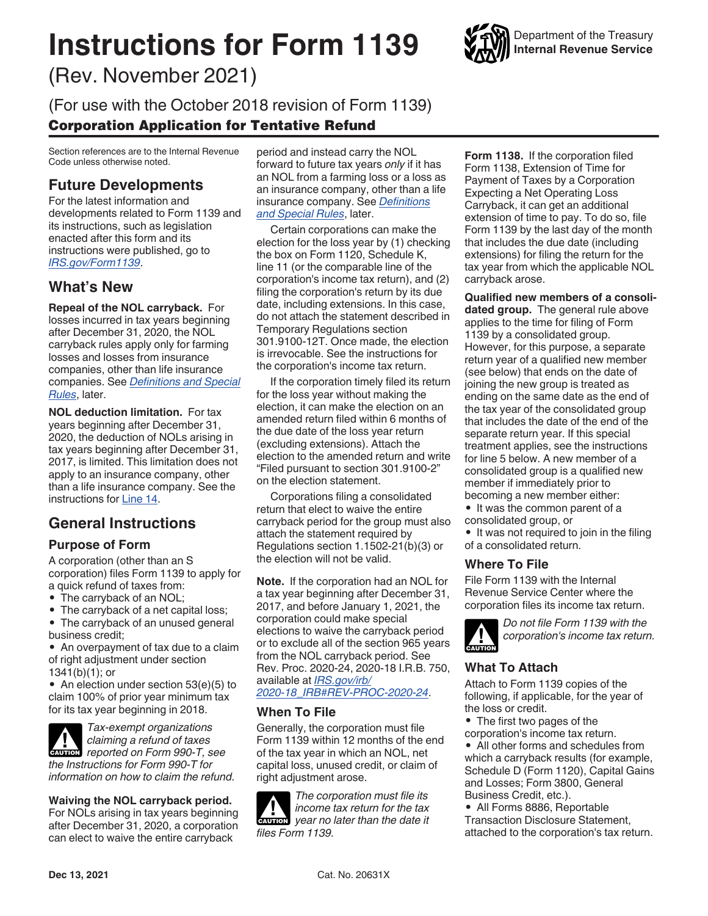# <span id="page-0-0"></span>**Instructions for Form 1139**

(Rev. November 2021)

(For use with the October 2018 revision of Form 1139) Corporation Application for Tentative Refund

Section references are to the Internal Revenue Code unless otherwise noted.

## **Future Developments**

For the latest information and developments related to Form 1139 and its instructions, such as legislation enacted after this form and its instructions were published, go to *[IRS.gov/Form1139](https://www.irs.gov/form1139)*.

# **What's New**

**Repeal of the NOL carryback.** For losses incurred in tax years beginning after December 31, 2020, the NOL carryback rules apply only for farming losses and losses from insurance companies, other than life insurance companies. See *[Definitions and Special](#page-1-0) [Rules](#page-1-0)*, later.

**NOL deduction limitation.** For tax years beginning after December 31, 2020, the deduction of NOLs arising in tax years beginning after December 31, 2017, is limited. This limitation does not apply to an insurance company, other than a life insurance company. See the instructions for [Line 14](#page-2-0).

# **General Instructions**

## **Purpose of Form**

A corporation (other than an S corporation) files Form 1139 to apply for a quick refund of taxes from:

- The carryback of an NOL;
- The carryback of a net capital loss;
- The carryback of an unused general business credit;

• An overpayment of tax due to a claim of right adjustment under section 1341(b)(1); or

• An election under section 53(e)(5) to claim 100% of prior year minimum tax for its tax year beginning in 2018.

*Tax-exempt organizations claiming a refund of taxes reported on Form 990-T, see the Instructions for Form 990-T for information on how to claim the refund.*

**Waiving the NOL carryback period.**  For NOLs arising in tax years beginning after December 31, 2020, a corporation can elect to waive the entire carryback

period and instead carry the NOL forward to future tax years *only* if it has an NOL from a farming loss or a loss as an insurance company, other than a life insurance company. See *[Definitions](#page-1-0) [and Special Rules](#page-1-0)*, later.

Certain corporations can make the election for the loss year by (1) checking the box on Form 1120, Schedule K, line 11 (or the comparable line of the corporation's income tax return), and (2) filing the corporation's return by its due date, including extensions. In this case, do not attach the statement described in Temporary Regulations section 301.9100-12T. Once made, the election is irrevocable. See the instructions for the corporation's income tax return.

If the corporation timely filed its return for the loss year without making the election, it can make the election on an amended return filed within 6 months of the due date of the loss year return (excluding extensions). Attach the election to the amended return and write "Filed pursuant to section 301.9100-2" on the election statement.

Corporations filing a consolidated return that elect to waive the entire carryback period for the group must also attach the statement required by Regulations section 1.1502-21(b)(3) or the election will not be valid.

**Note.** If the corporation had an NOL for a tax year beginning after December 31, 2017, and before January 1, 2021, the corporation could make special elections to waive the carryback period or to exclude all of the section 965 years from the NOL carryback period. See Rev. Proc. 2020-24, 2020-18 I.R.B. 750, available at *[IRS.gov/irb/](https://www.irs.gov/irb/2020-18_IRB#REVPROC- 2020-24) [2020-18\\_IRB#REV-PROC-2020-24](https://www.irs.gov/irb/2020-18_IRB#REVPROC- 2020-24)*.

#### **When To File**

Generally, the corporation must file Form 1139 within 12 months of the end of the tax year in which an NOL, net capital loss, unused credit, or claim of right adjustment arose.

*The corporation must file its income tax return for the tax*  **Property** income tax return for the tax<br>
year no later than the date it *files Form 1139.*

**Form 1138.** If the corporation filed Form 1138, Extension of Time for Payment of Taxes by a Corporation Expecting a Net Operating Loss Carryback, it can get an additional extension of time to pay. To do so, file Form 1139 by the last day of the month that includes the due date (including extensions) for filing the return for the tax year from which the applicable NOL carryback arose.

**Qualified new members of a consolidated group.** The general rule above applies to the time for filing of Form 1139 by a consolidated group. However, for this purpose, a separate return year of a qualified new member (see below) that ends on the date of joining the new group is treated as ending on the same date as the end of the tax year of the consolidated group that includes the date of the end of the separate return year. If this special treatment applies, see the instructions for line 5 below. A new member of a consolidated group is a qualified new member if immediately prior to becoming a new member either:

• It was the common parent of a consolidated group, or

• It was not required to join in the filing of a consolidated return.

## **Where To File**

File Form 1139 with the Internal Revenue Service Center where the corporation files its income tax return.



*Do not file Form 1139 with the corporation's income tax return.*

## **What To Attach**

Attach to Form 1139 copies of the following, if applicable, for the year of the loss or credit.

• The first two pages of the corporation's income tax return.

• All other forms and schedules from which a carryback results (for example, Schedule D (Form 1120), Capital Gains and Losses; Form 3800, General Business Credit, etc.).

• All Forms 8886, Reportable Transaction Disclosure Statement, attached to the corporation's tax return.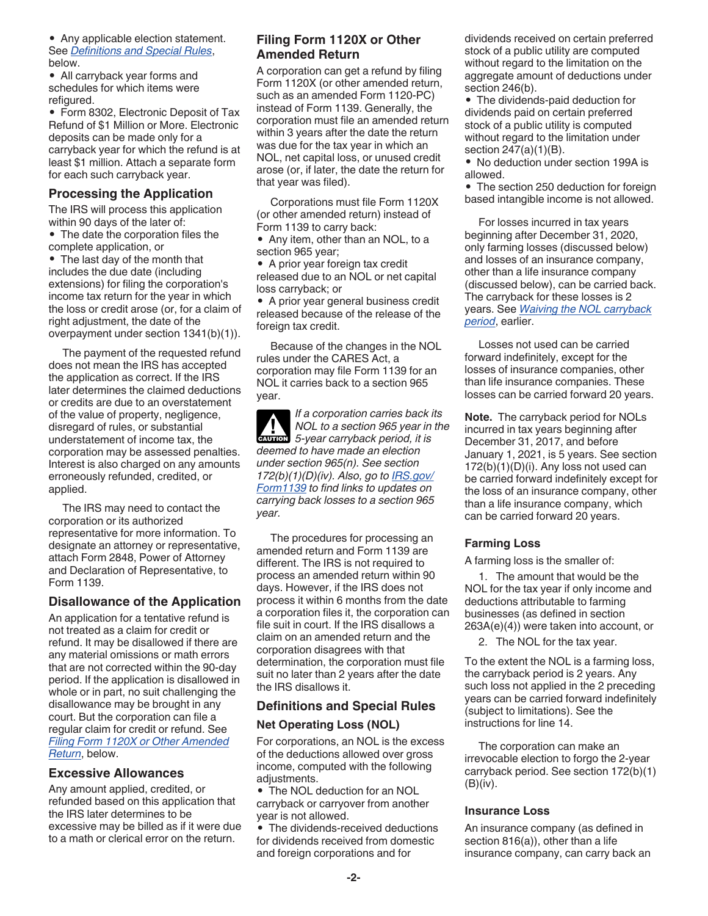<span id="page-1-0"></span>• Any applicable election statement. See *Definitions and Special Rules*, below.

• All carryback year forms and schedules for which items were refigured.

• Form 8302, Electronic Deposit of Tax Refund of \$1 Million or More. Electronic deposits can be made only for a carryback year for which the refund is at least \$1 million. Attach a separate form for each such carryback year.

#### **Processing the Application**

The IRS will process this application within 90 days of the later of:

• The date the corporation files the complete application, or

• The last day of the month that includes the due date (including extensions) for filing the corporation's income tax return for the year in which the loss or credit arose (or, for a claim of right adjustment, the date of the overpayment under section 1341(b)(1)).

The payment of the requested refund does not mean the IRS has accepted the application as correct. If the IRS later determines the claimed deductions or credits are due to an overstatement of the value of property, negligence, disregard of rules, or substantial understatement of income tax, the corporation may be assessed penalties. Interest is also charged on any amounts erroneously refunded, credited, or applied.

The IRS may need to contact the corporation or its authorized representative for more information. To designate an attorney or representative, attach Form 2848, Power of Attorney and Declaration of Representative, to Form 1139.

#### **Disallowance of the Application**

An application for a tentative refund is not treated as a claim for credit or refund. It may be disallowed if there are any material omissions or math errors that are not corrected within the 90-day period. If the application is disallowed in whole or in part, no suit challenging the disallowance may be brought in any court. But the corporation can file a regular claim for credit or refund. See *Filing Form 1120X or Other Amended Return*, below.

#### **Excessive Allowances**

Any amount applied, credited, or refunded based on this application that the IRS later determines to be excessive may be billed as if it were due to a math or clerical error on the return.

#### **Filing Form 1120X or Other Amended Return**

A corporation can get a refund by filing Form 1120X (or other amended return, such as an amended Form 1120-PC) instead of Form 1139. Generally, the corporation must file an amended return within 3 years after the date the return was due for the tax year in which an NOL, net capital loss, or unused credit arose (or, if later, the date the return for that year was filed).

Corporations must file Form 1120X (or other amended return) instead of Form 1139 to carry back:

• Any item, other than an NOL, to a section 965 year;

• A prior year foreign tax credit released due to an NOL or net capital loss carryback; or

• A prior year general business credit released because of the release of the foreign tax credit.

Because of the changes in the NOL rules under the CARES Act, a corporation may file Form 1139 for an NOL it carries back to a section 965 year.

*If a corporation carries back its NOL to a section 965 year in the*  **NOL** to a section 965 year in<br> **CAUTION** 5-year carryback period, it is *deemed to have made an election under section 965(n). See section 172(b)(1)(D)(iv). Also, go to [IRS.gov/](https://www.irs.gov/forms-pubs/about-form-1139) [Form1139](https://www.irs.gov/forms-pubs/about-form-1139) to find links to updates on carrying back losses to a section 965 year.*

The procedures for processing an amended return and Form 1139 are different. The IRS is not required to process an amended return within 90 days. However, if the IRS does not process it within 6 months from the date a corporation files it, the corporation can file suit in court. If the IRS disallows a claim on an amended return and the corporation disagrees with that determination, the corporation must file suit no later than 2 years after the date the IRS disallows it.

#### **Definitions and Special Rules**

#### **Net Operating Loss (NOL)**

For corporations, an NOL is the excess of the deductions allowed over gross income, computed with the following adiustments.

• The NOL deduction for an NOL carryback or carryover from another year is not allowed.

• The dividends-received deductions for dividends received from domestic and foreign corporations and for

dividends received on certain preferred stock of a public utility are computed without regard to the limitation on the aggregate amount of deductions under section 246(b).

• The dividends-paid deduction for dividends paid on certain preferred stock of a public utility is computed without regard to the limitation under section 247(a)(1)(B).

• No deduction under section 199A is allowed.

• The section 250 deduction for foreign based intangible income is not allowed.

For losses incurred in tax years beginning after December 31, 2020, only farming losses (discussed below) and losses of an insurance company, other than a life insurance company (discussed below), can be carried back. The carryback for these losses is 2 years. See *[Waiving the NOL carryback](#page-0-0)  [period](#page-0-0)*, earlier.

Losses not used can be carried forward indefinitely, except for the losses of insurance companies, other than life insurance companies. These losses can be carried forward 20 years.

**Note.** The carryback period for NOLs incurred in tax years beginning after December 31, 2017, and before January 1, 2021, is 5 years. See section  $172(b)(1)(D)(i)$ . Any loss not used can be carried forward indefinitely except for the loss of an insurance company, other than a life insurance company, which can be carried forward 20 years.

#### **Farming Loss**

A farming loss is the smaller of:

1. The amount that would be the NOL for the tax year if only income and deductions attributable to farming businesses (as defined in section 263A(e)(4)) were taken into account, or

2. The NOL for the tax year.

To the extent the NOL is a farming loss, the carryback period is 2 years. Any such loss not applied in the 2 preceding years can be carried forward indefinitely (subject to limitations). See the instructions for line 14.

The corporation can make an irrevocable election to forgo the 2-year carryback period. See section 172(b)(1) (B)(iv).

#### **Insurance Loss**

An insurance company (as defined in section 816(a)), other than a life insurance company, can carry back an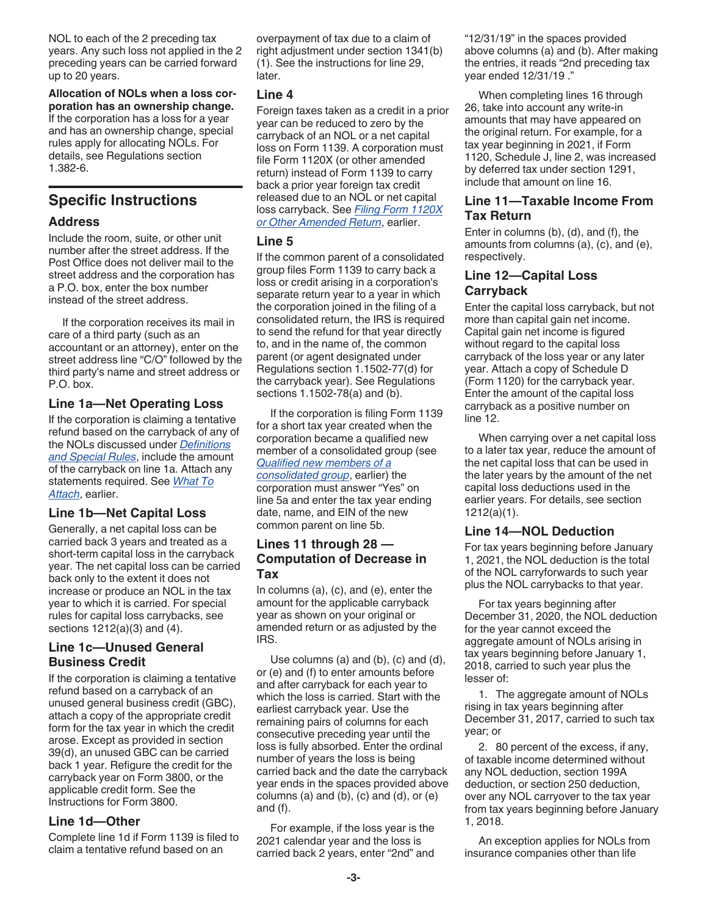<span id="page-2-0"></span>NOL to each of the 2 preceding tax years. Any such loss not applied in the 2 preceding years can be carried forward up to 20 years.

**Allocation of NOLs when a loss corporation has an ownership change.**  If the corporation has a loss for a year and has an ownership change, special rules apply for allocating NOLs. For details, see Regulations section 1.382-6.

## **Specific Instructions**

#### **Address**

Include the room, suite, or other unit number after the street address. If the Post Office does not deliver mail to the street address and the corporation has a P.O. box, enter the box number instead of the street address.

If the corporation receives its mail in care of a third party (such as an accountant or an attorney), enter on the street address line "C/O" followed by the third party's name and street address or P.O. box.

#### **Line 1a—Net Operating Loss**

If the corporation is claiming a tentative refund based on the carryback of any of the NOLs discussed under *[Definitions](#page-1-0)  [and Special Rules](#page-1-0)*, include the amount of the carryback on line 1a. Attach any statements required. See *[What To](#page-0-0) [Attach](#page-0-0)*, earlier.

#### **Line 1b—Net Capital Loss**

Generally, a net capital loss can be carried back 3 years and treated as a short-term capital loss in the carryback year. The net capital loss can be carried back only to the extent it does not increase or produce an NOL in the tax year to which it is carried. For special rules for capital loss carrybacks, see sections 1212(a)(3) and (4).

#### **Line 1c—Unused General Business Credit**

If the corporation is claiming a tentative refund based on a carryback of an unused general business credit (GBC), attach a copy of the appropriate credit form for the tax year in which the credit arose. Except as provided in section 39(d), an unused GBC can be carried back 1 year. Refigure the credit for the carryback year on Form 3800, or the applicable credit form. See the Instructions for Form 3800.

#### **Line 1d—Other**

Complete line 1d if Form 1139 is filed to claim a tentative refund based on an

overpayment of tax due to a claim of right adjustment under section 1341(b) (1). See the instructions for line 29, later.

#### **Line 4**

Foreign taxes taken as a credit in a prior year can be reduced to zero by the carryback of an NOL or a net capital loss on Form 1139. A corporation must file Form 1120X (or other amended return) instead of Form 1139 to carry back a prior year foreign tax credit released due to an NOL or net capital loss carryback. See *[Filing Form 1120X](#page-1-0) [or Other Amended Return](#page-1-0)*, earlier.

#### **Line 5**

If the common parent of a consolidated group files Form 1139 to carry back a loss or credit arising in a corporation's separate return year to a year in which the corporation joined in the filing of a consolidated return, the IRS is required to send the refund for that year directly to, and in the name of, the common parent (or agent designated under Regulations section 1.1502-77(d) for the carryback year). See Regulations sections 1.1502-78(a) and (b).

If the corporation is filing Form 1139 for a short tax year created when the corporation became a qualified new member of a consolidated group (see *[Qualified new members of a](#page-0-0)  [consolidated group](#page-0-0)*, earlier) the corporation must answer "Yes" on line 5a and enter the tax year ending date, name, and EIN of the new common parent on line 5b.

#### **Lines 11 through 28 — Computation of Decrease in Tax**

In columns (a), (c), and (e), enter the amount for the applicable carryback year as shown on your original or amended return or as adjusted by the IRS.

Use columns (a) and (b), (c) and (d), or (e) and (f) to enter amounts before and after carryback for each year to which the loss is carried. Start with the earliest carryback year. Use the remaining pairs of columns for each consecutive preceding year until the loss is fully absorbed. Enter the ordinal number of years the loss is being carried back and the date the carryback year ends in the spaces provided above columns (a) and (b), (c) and (d), or  $(e)$ and (f).

For example, if the loss year is the 2021 calendar year and the loss is carried back 2 years, enter "2nd" and

"12/31/19" in the spaces provided above columns (a) and (b). After making the entries, it reads "2nd preceding tax year ended 12/31/19 ."

When completing lines 16 through 26, take into account any write-in amounts that may have appeared on the original return. For example, for a tax year beginning in 2021, if Form 1120, Schedule J, line 2, was increased by deferred tax under section 1291, include that amount on line 16.

#### **Line 11—Taxable Income From Tax Return**

Enter in columns (b), (d), and (f), the amounts from columns (a), (c), and (e), respectively.

#### **Line 12—Capital Loss Carryback**

Enter the capital loss carryback, but not more than capital gain net income. Capital gain net income is figured without regard to the capital loss carryback of the loss year or any later year. Attach a copy of Schedule D (Form 1120) for the carryback year. Enter the amount of the capital loss carryback as a positive number on line 12.

When carrying over a net capital loss to a later tax year, reduce the amount of the net capital loss that can be used in the later years by the amount of the net capital loss deductions used in the earlier years. For details, see section 1212(a)(1).

#### **Line 14—NOL Deduction**

For tax years beginning before January 1, 2021, the NOL deduction is the total of the NOL carryforwards to such year plus the NOL carrybacks to that year.

For tax years beginning after December 31, 2020, the NOL deduction for the year cannot exceed the aggregate amount of NOLs arising in tax years beginning before January 1, 2018, carried to such year plus the lesser of:

1. The aggregate amount of NOLs rising in tax years beginning after December 31, 2017, carried to such tax year; or

2. 80 percent of the excess, if any, of taxable income determined without any NOL deduction, section 199A deduction, or section 250 deduction, over any NOL carryover to the tax year from tax years beginning before January 1, 2018.

An exception applies for NOLs from insurance companies other than life